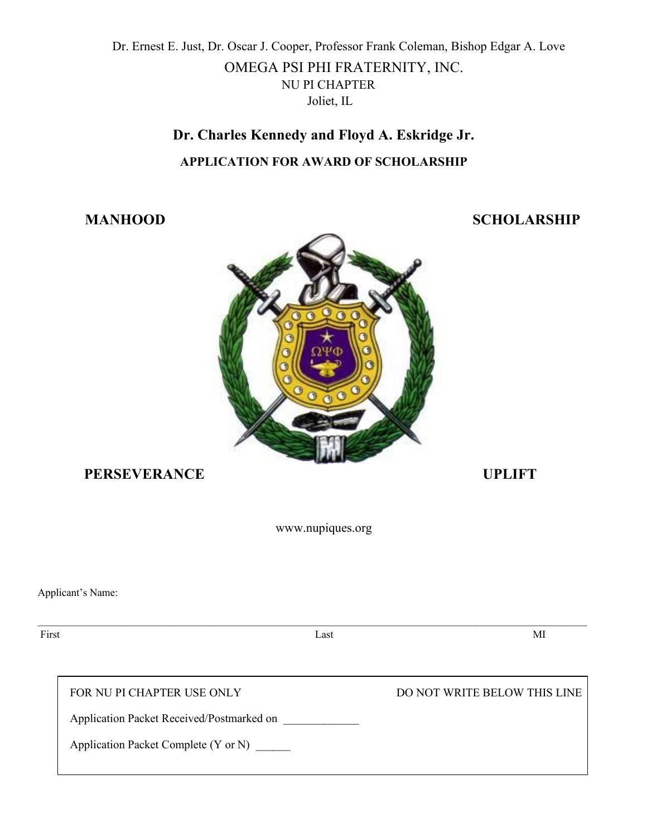Dr. Ernest E. Just, Dr. Oscar J. Cooper, Professor Frank Coleman, Bishop Edgar A. Love

### OMEGA PSI PHI FRATERNITY, INC. NU PI CHAPTER Joliet, IL

# **Dr. Charles Kennedy and Floyd A. Eskridge Jr. APPLICATION FOR AWARD OF SCHOLARSHIP**

## **MANHOOD SCHOLARSHIP**



# **PERSEVERANCE UPLIFT**

www.nupiques.org

Applicant's Name:

First Last Last MI

FOR NU PI CHAPTER USE ONLY DO NOT WRITE BELOW THIS LINE

Application Packet Received/Postmarked on

Application Packet Complete (Y or N) \_\_\_\_\_\_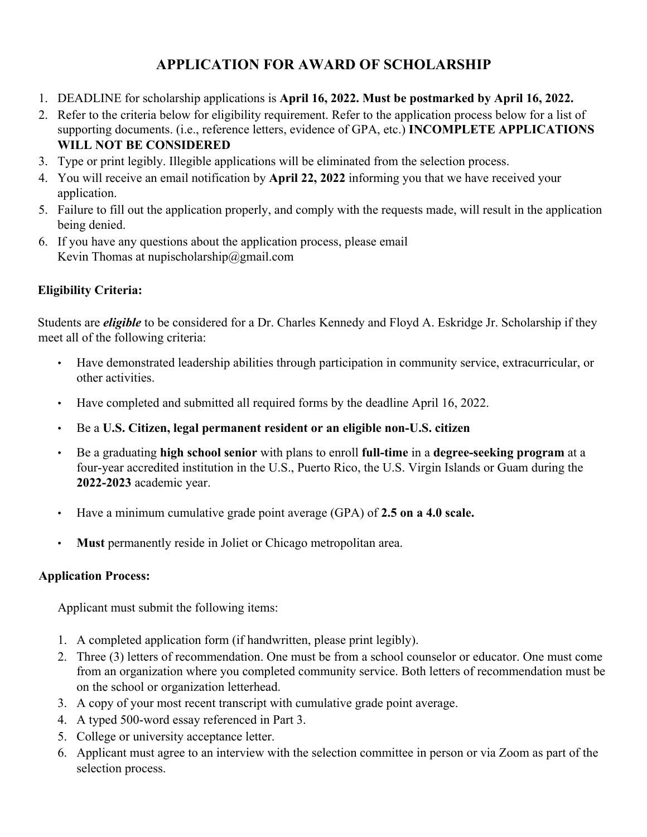# **APPLICATION FOR AWARD OF SCHOLARSHIP**

- 1. DEADLINE for scholarship applications is **April 16, 2022. Must be postmarked by April 16, 2022.**
- 2. Refer to the criteria below for eligibility requirement. Refer to the application process below for a list of supporting documents. (i.e., reference letters, evidence of GPA, etc.) **INCOMPLETE APPLICATIONS WILL NOT BE CONSIDERED**
- 3. Type or print legibly. Illegible applications will be eliminated from the selection process.
- 4. You will receive an email notification by **April 22, 2022** informing you that we have received your application.
- 5. Failure to fill out the application properly, and comply with the requests made, will result in the application being denied.
- 6. If you have any questions about the application process, please email Kevin Thomas at nupischolarship@gmail.com

#### **Eligibility Criteria:**

Students are *eligible* to be considered for a Dr. Charles Kennedy and Floyd A. Eskridge Jr. Scholarship if they meet all of the following criteria:

- Have demonstrated leadership abilities through participation in community service, extracurricular, or other activities.
- Have completed and submitted all required forms by the deadline April 16, 2022.
- Be a **U.S. Citizen, legal permanent resident or an eligible non-U.S. citizen**
- Be a graduating **high school senior** with plans to enroll **full-time** in a **degree-seeking program** at a four-year accredited institution in the U.S., Puerto Rico, the U.S. Virgin Islands or Guam during the **2022-2023** academic year.
- Have a minimum cumulative grade point average (GPA) of **2.5 on a 4.0 scale.**
- **Must** permanently reside in Joliet or Chicago metropolitan area.

#### **Application Process:**

Applicant must submit the following items:

- 1. A completed application form (if handwritten, please print legibly).
- 2. Three (3) letters of recommendation. One must be from a school counselor or educator. One must come from an organization where you completed community service. Both letters of recommendation must be on the school or organization letterhead.
- 3. A copy of your most recent transcript with cumulative grade point average.
- 4. A typed 500-word essay referenced in Part 3.
- 5. College or university acceptance letter.
- 6. Applicant must agree to an interview with the selection committee in person or via Zoom as part of the selection process.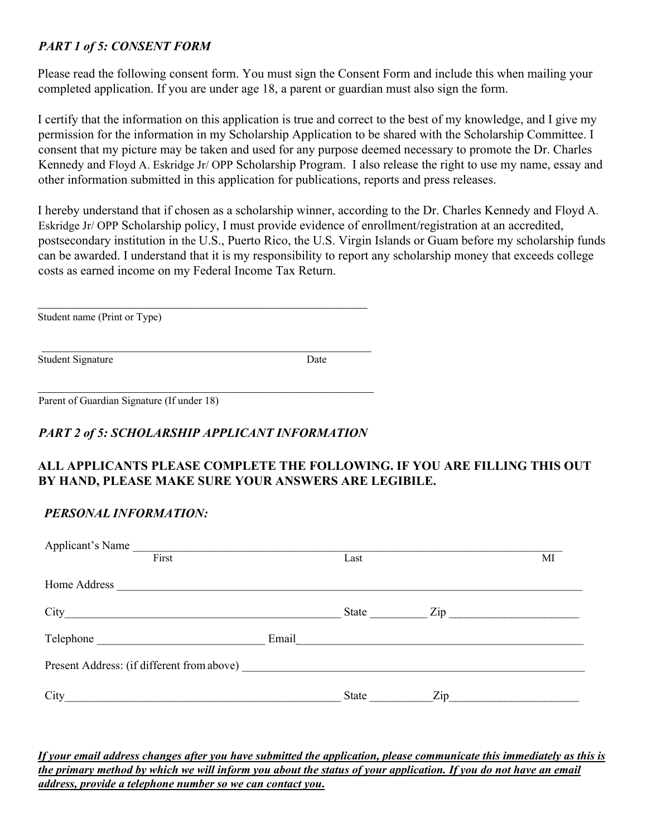#### *PART 1 of 5: CONSENT FORM*

Please read the following consent form. You must sign the Consent Form and include this when mailing your completed application. If you are under age 18, a parent or guardian must also sign the form.

I certify that the information on this application is true and correct to the best of my knowledge, and I give my permission for the information in my Scholarship Application to be shared with the Scholarship Committee. I consent that my picture may be taken and used for any purpose deemed necessary to promote the Dr. Charles Kennedy and Floyd A. Eskridge Jr/ OPP Scholarship Program. I also release the right to use my name, essay and other information submitted in this application for publications, reports and press releases.

I hereby understand that if chosen as a scholarship winner, according to the Dr. Charles Kennedy and Floyd A. Eskridge Jr/ OPP Scholarship policy, I must provide evidence of enrollment/registration at an accredited, postsecondary institution in the U.S., Puerto Rico, the U.S. Virgin Islands or Guam before my scholarship funds can be awarded. I understand that it is my responsibility to report any scholarship money that exceeds college costs as earned income on my Federal Income Tax Return.

Student name (Print or Type)

Student Signature Date

Parent of Guardian Signature (If under 18)

#### *PART 2 of 5: SCHOLARSHIP APPLICANT INFORMATION*

#### **ALL APPLICANTS PLEASE COMPLETE THE FOLLOWING. IF YOU ARE FILLING THIS OUT BY HAND, PLEASE MAKE SURE YOUR ANSWERS ARE LEGIBILE.**

#### *PERSONAL INFORMATION:*

| Applicant's Name                           |       |                                  |    |
|--------------------------------------------|-------|----------------------------------|----|
| First                                      | Last  |                                  | МI |
|                                            |       |                                  |    |
| $City$ <sub>___</sub>                      | State |                                  |    |
|                                            |       | Email                            |    |
| Present Address: (if different from above) |       |                                  |    |
| City                                       | State | $\mathop{\mathrm{Zip}}\nolimits$ |    |

*If your email address changes after you have submitted the application, please communicate this immediately as this is the primary method by which we will inform you about the status of your application. If you do not have an email address, provide a telephone number so we can contact you***.**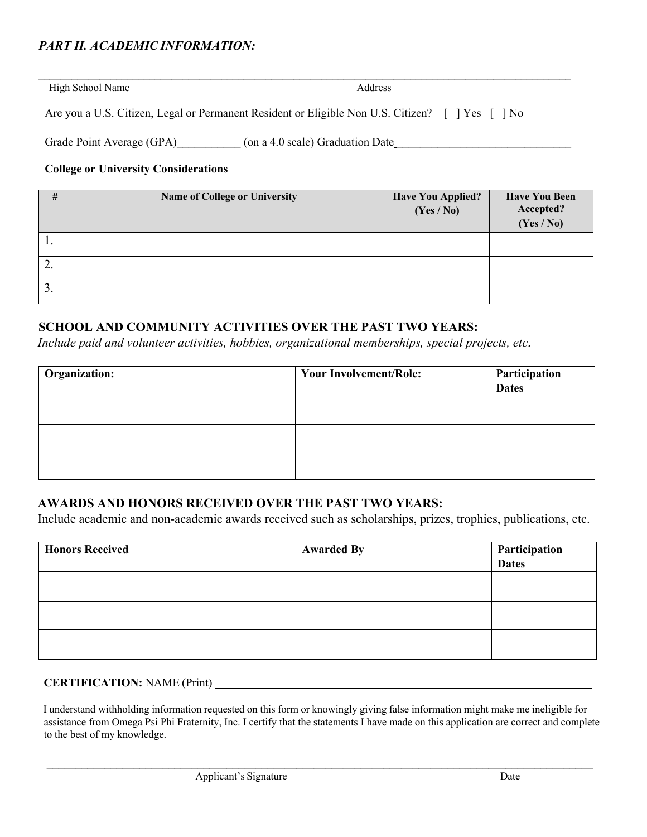#### *PART II. ACADEMIC INFORMATION:*

High School Name Address

Are you a U.S. Citizen, Legal or Permanent Resident or Eligible Non U.S. Citizen? [ ] Yes [ ] No

 $\mathcal{L}_\mathcal{L} = \mathcal{L}_\mathcal{L} = \mathcal{L}_\mathcal{L} = \mathcal{L}_\mathcal{L} = \mathcal{L}_\mathcal{L} = \mathcal{L}_\mathcal{L} = \mathcal{L}_\mathcal{L} = \mathcal{L}_\mathcal{L} = \mathcal{L}_\mathcal{L} = \mathcal{L}_\mathcal{L} = \mathcal{L}_\mathcal{L} = \mathcal{L}_\mathcal{L} = \mathcal{L}_\mathcal{L} = \mathcal{L}_\mathcal{L} = \mathcal{L}_\mathcal{L} = \mathcal{L}_\mathcal{L} = \mathcal{L}_\mathcal{L}$ 

Grade Point Average (GPA)  $(0n a 4.0 scale)$  Graduation Date

#### **College or University Considerations**

| #   | Name of College or University | <b>Have You Applied?</b><br>(Yes / No) | <b>Have You Been</b><br>Accepted?<br>(Yes / No) |
|-----|-------------------------------|----------------------------------------|-------------------------------------------------|
| . . |                               |                                        |                                                 |
| ∠.  |                               |                                        |                                                 |
| 3.  |                               |                                        |                                                 |

#### **SCHOOL AND COMMUNITY ACTIVITIES OVER THE PAST TWO YEARS:**

*Include paid and volunteer activities, hobbies, organizational memberships, special projects, etc.* 

| Organization: | <b>Your Involvement/Role:</b> | Participation<br><b>Dates</b> |
|---------------|-------------------------------|-------------------------------|
|               |                               |                               |
|               |                               |                               |
|               |                               |                               |

#### **AWARDS AND HONORS RECEIVED OVER THE PAST TWO YEARS:**

Include academic and non-academic awards received such as scholarships, prizes, trophies, publications, etc.

| <b>Honors Received</b> | <b>Awarded By</b> | Participation<br>Dates |
|------------------------|-------------------|------------------------|
|                        |                   |                        |
|                        |                   |                        |
|                        |                   |                        |

#### **CERTIFICATION:** NAME (Print)

I understand withholding information requested on this form or knowingly giving false information might make me ineligible for assistance from Omega Psi Phi Fraternity, Inc. I certify that the statements I have made on this application are correct and complete to the best of my knowledge.

 $\mathcal{L}_\mathcal{L} = \{ \mathcal{L}_\mathcal{L} = \{ \mathcal{L}_\mathcal{L} = \{ \mathcal{L}_\mathcal{L} = \{ \mathcal{L}_\mathcal{L} = \{ \mathcal{L}_\mathcal{L} = \{ \mathcal{L}_\mathcal{L} = \{ \mathcal{L}_\mathcal{L} = \{ \mathcal{L}_\mathcal{L} = \{ \mathcal{L}_\mathcal{L} = \{ \mathcal{L}_\mathcal{L} = \{ \mathcal{L}_\mathcal{L} = \{ \mathcal{L}_\mathcal{L} = \{ \mathcal{L}_\mathcal{L} = \{ \mathcal{L}_\mathcal{$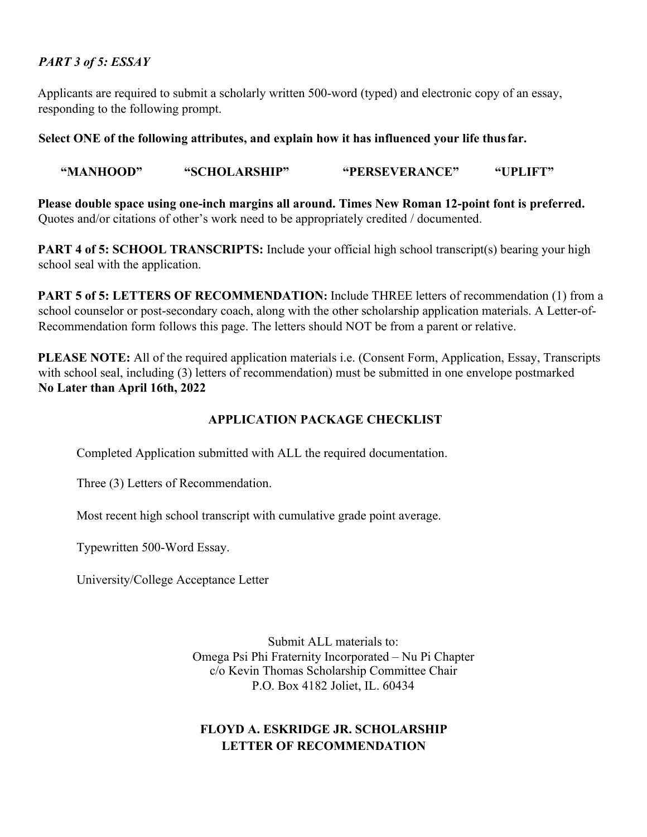#### *PART 3 of 5: ESSAY*

Applicants are required to submit a scholarly written 500-word (typed) and electronic copy of an essay, responding to the following prompt.

#### **Select ONE of the following attributes, and explain how it has influenced your life thusfar.**

 **"MANHOOD" "SCHOLARSHIP" "PERSEVERANCE" "UPLIFT"**

**Please double space using one-inch margins all around. Times New Roman 12-point font is preferred.** Quotes and/or citations of other's work need to be appropriately credited / documented.

**PART 4 of 5: SCHOOL TRANSCRIPTS:** Include your official high school transcript(s) bearing your high school seal with the application.

**PART 5 of 5: LETTERS OF RECOMMENDATION:** Include THREE letters of recommendation (1) from a school counselor or post-secondary coach, along with the other scholarship application materials. A Letter-of-Recommendation form follows this page. The letters should NOT be from a parent or relative.

**PLEASE NOTE:** All of the required application materials i.e. (Consent Form, Application, Essay, Transcripts with school seal, including (3) letters of recommendation) must be submitted in one envelope postmarked **No Later than April 16th, 2022**

#### **APPLICATION PACKAGE CHECKLIST**

Completed Application submitted with ALL the required documentation.

Three (3) Letters of Recommendation.

Most recent high school transcript with cumulative grade point average.

Typewritten 500-Word Essay.

University/College Acceptance Letter

Submit ALL materials to: Omega Psi Phi Fraternity Incorporated – Nu Pi Chapter c/o Kevin Thomas Scholarship Committee Chair P.O. Box 4182 Joliet, IL. 60434

#### **FLOYD A. ESKRIDGE JR. SCHOLARSHIP LETTER OF RECOMMENDATION**